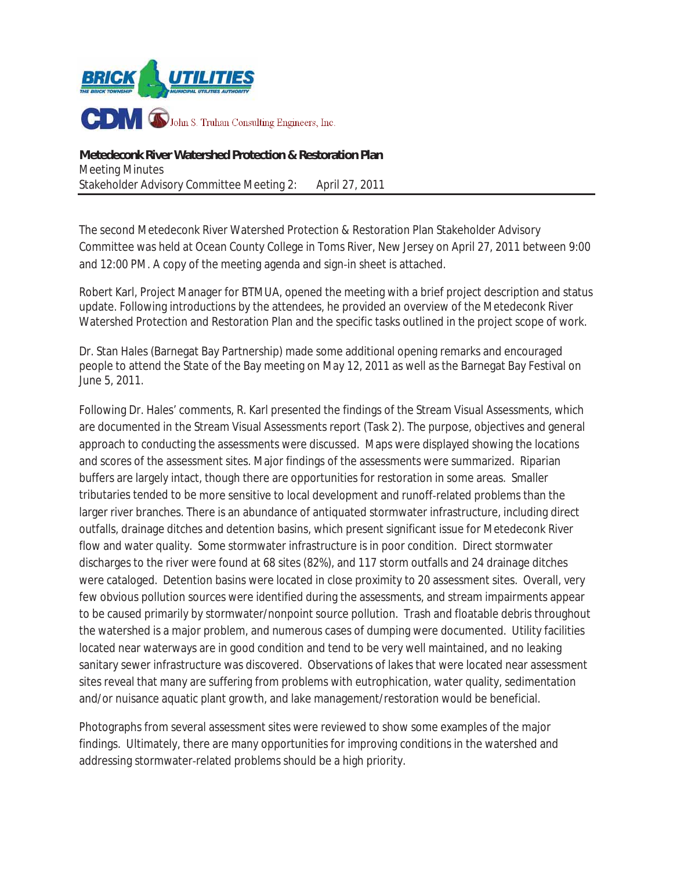

The second Metedeconk River Watershed Protection & Restoration Plan Stakeholder Advisory Committee was held at Ocean County College in Toms River, New Jersey on April 27, 2011 between 9:00 and 12:00 PM. A copy of the meeting agenda and sign-in sheet is attached.

Robert Karl, Project Manager for BTMUA, opened the meeting with a brief project description and status update. Following introductions by the attendees, he provided an overview of the Metedeconk River Watershed Protection and Restoration Plan and the specific tasks outlined in the project scope of work.

Dr. Stan Hales (Barnegat Bay Partnership) made some additional opening remarks and encouraged people to attend the State of the Bay meeting on May 12, 2011 as well as the Barnegat Bay Festival on June 5, 2011.

Following Dr. Hales' comments, R. Karl presented the findings of the Stream Visual Assessments, which are documented in the Stream Visual Assessments report (Task 2). The purpose, objectives and general approach to conducting the assessments were discussed.Maps were displayed showing the locations and scores of the assessment sites. Major findings of the assessments were summarized. Riparian buffers are largely intact, though there are opportunities for restoration in some areas. Smaller tributaries tended to be more sensitive to local development and runoff-related problems than the larger river branches. There is an abundance of antiquated stormwater infrastructure, including direct outfalls, drainage ditches and detention basins, which present significant issue for Metedeconk River flow and water quality. Some stormwater infrastructure is in poor condition. Direct stormwater discharges to the river were found at 68 sites (82%), and 117 storm outfalls and 24 drainage ditches were cataloged. Detention basins were located in close proximity to 20 assessment sites. Overall, very few obvious pollution sources were identified during the assessments, and stream impairments appear to be caused primarily by stormwater/nonpoint source pollution. Trash and floatable debris throughout the watershed is a major problem, and numerous cases of dumping were documented. Utility facilities located near waterways are in good condition and tend to be very well maintained, and no leaking sanitary sewer infrastructure was discovered. Observations of lakes that were located near assessment sites reveal that many are suffering from problems with eutrophication, water quality, sedimentation and/or nuisance aquatic plant growth, and lake management/restoration would be beneficial.

Photographs from several assessment sites were reviewed to show some examples of the major findings. Ultimately, there are many opportunities for improving conditions in the watershed and addressing stormwater-related problems should be a high priority.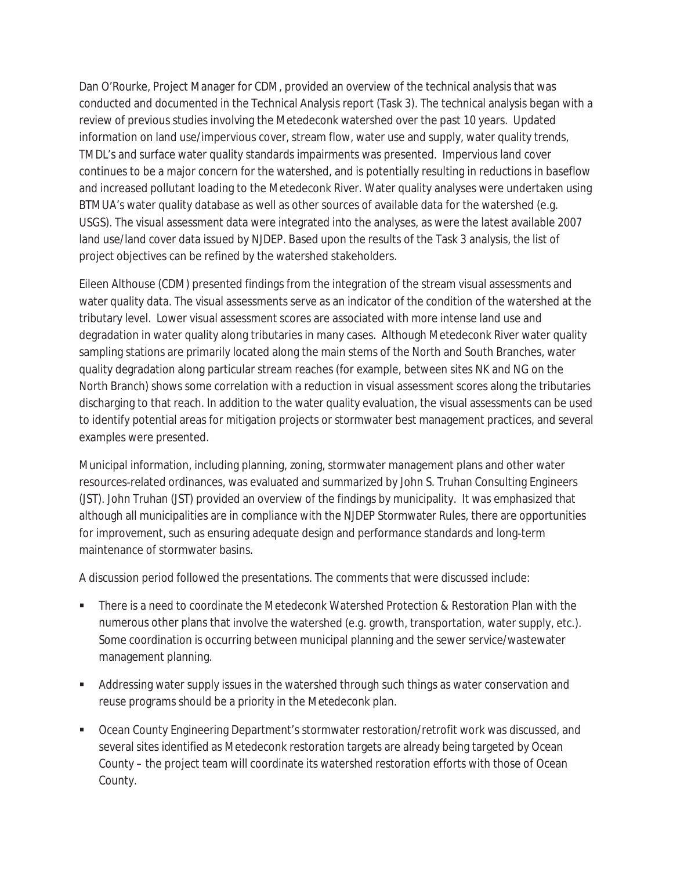Dan O'Rourke, Project Manager for CDM, provided an overview of the technical analysis that was conducted and documented in the Technical Analysis report (Task 3). The technical analysis began with a review of previous studies involving the Metedeconk watershed over the past 10 years. Updated information on land use/impervious cover, stream flow, water use and supply, water quality trends, TMDL's and surface water quality standards impairments was presented. Impervious land cover continues to be a major concern for the watershed, and is potentially resulting in reductions in baseflow and increased pollutant loading to the Metedeconk River. Water quality analyses were undertaken using BTMUA's water quality database as well as other sources of available data for the watershed (e.g. USGS). The visual assessment data were integrated into the analyses, as were the latest available 2007 land use/land cover data issued by NJDEP. Based upon the results of the Task 3 analysis, the list of project objectives can be refined by the watershed stakeholders.

Eileen Althouse (CDM) presented findings from the integration of the stream visual assessments and water quality data. The visual assessments serve as an indicator of the condition of the watershed at the tributary level. Lower visual assessment scores are associated with more intense land use and degradation in water quality along tributaries in many cases. Although Metedeconk River water quality sampling stations are primarily located along the main stems of the North and South Branches, water quality degradation along particular stream reaches (for example, between sites NK and NG on the North Branch) shows some correlation with a reduction in visual assessment scores along the tributaries discharging to that reach. In addition to the water quality evaluation, the visual assessments can be used to identify potential areas for mitigation projects or stormwater best management practices, and several examples were presented.

Municipal information, including planning, zoning, stormwater management plans and other water resources-related ordinances, was evaluated and summarized by John S. Truhan Consulting Engineers (JST). John Truhan (JST) provided an overview of the findings by municipality. It was emphasized that although all municipalities are in compliance with the NJDEP Stormwater Rules, there are opportunities for improvement, such as ensuring adequate design and performance standards and long-term maintenance of stormwater basins.

A discussion period followed the presentations. The comments that were discussed include:

- There is a need to coordinate the Metedeconk Watershed Protection & Restoration Plan with the numerous other plans that involve the watershed (e.g. growth, transportation, water supply, etc.). Some coordination is occurring between municipal planning and the sewer service/wastewater management planning.
- Addressing water supply issues in the watershed through such things as water conservation and reuse programs should be a priority in the Metedeconk plan.
- Ocean County Engineering Department's stormwater restoration/retrofit work was discussed, and several sites identified as Metedeconk restoration targets are already being targeted by Ocean County – the project team will coordinate its watershed restoration efforts with those of Ocean County.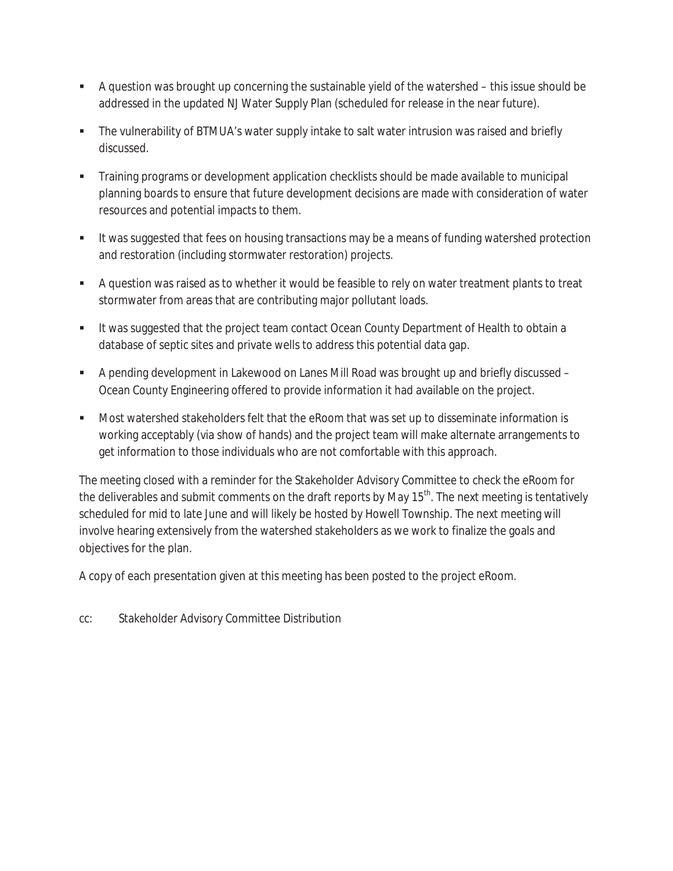- A question was brought up concerning the sustainable yield of the watershed this issue should be addressed in the updated NJ Water Supply Plan (scheduled for release in the near future).
- The vulnerability of BTMUA's water supply intake to salt water intrusion was raised and briefly discussed.
- Training programs or development application checklists should be made available to municipal planning boards to ensure that future development decisions are made with consideration of water resources and potential impacts to them.
- It was suggested that fees on housing transactions may be a means of funding watershed protection and restoration (including stormwater restoration) projects.
- A question was raised as to whether it would be feasible to rely on water treatment plants to treat stormwater from areas that are contributing major pollutant loads.
- It was suggested that the project team contact Ocean County Department of Health to obtain a database of septic sites and private wells to address this potential data gap.
- A pending development in Lakewood on Lanes Mill Road was brought up and briefly discussed Ocean County Engineering offered to provide information it had available on the project.
- Most watershed stakeholders felt that the eRoom that was set up to disseminate information is working acceptably (via show of hands) and the project team will make alternate arrangements to get information to those individuals who are not comfortable with this approach.

The meeting closed with a reminder for the Stakeholder Advisory Committee to check the eRoom for the deliverables and submit comments on the draft reports by May 15<sup>th</sup>. The next meeting is tentatively scheduled for mid to late June and will likely be hosted by Howell Township. The next meeting will involve hearing extensively from the watershed stakeholders as we work to finalize the goals and objectives for the plan.

A copy of each presentation given at this meeting has been posted to the project eRoom.

cc: Stakeholder Advisory Committee Distribution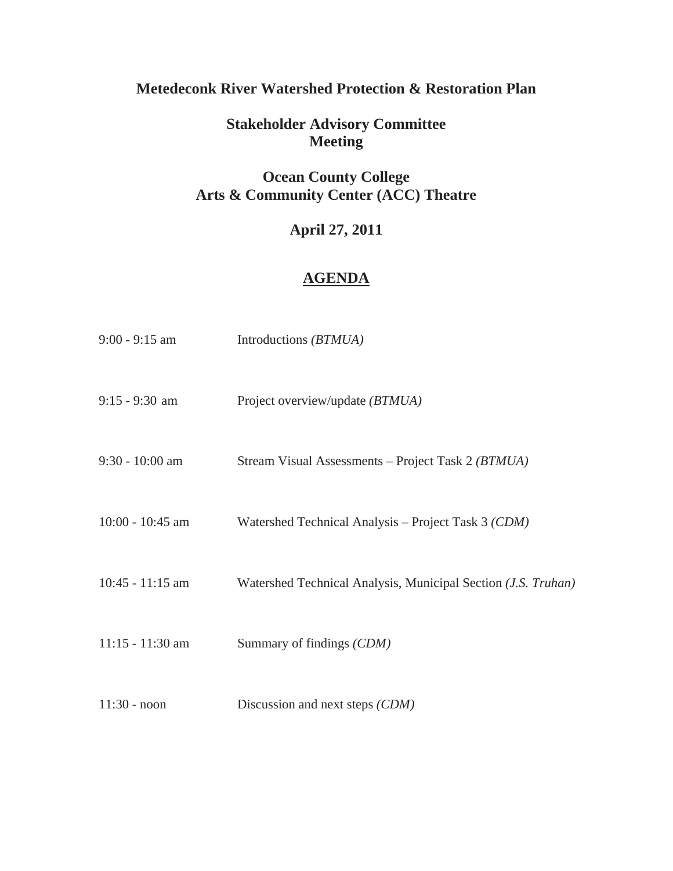# **Metedeconk River Watershed Protection & Restoration Plan**

# **Stakeholder Advisory Committee Meeting**

## **Ocean County College Arts & Community Center (ACC) Theatre**

# **April 27, 2011**

#### **AGENDA**

| $9:00 - 9:15$ am   | Introductions (BTMUA)                                                  |
|--------------------|------------------------------------------------------------------------|
| $9:15 - 9:30$ am   | Project overview/update (BTMUA)                                        |
| $9:30 - 10:00$ am  | Stream Visual Assessments - Project Task 2 (BTMUA)                     |
| $10:00 - 10:45$ am | Watershed Technical Analysis – Project Task 3 (CDM)                    |
| $10:45 - 11:15$ am | Watershed Technical Analysis, Municipal Section ( <i>J.S. Truhan</i> ) |
| $11:15 - 11:30$ am | Summary of findings (CDM)                                              |
| $11:30 - noon$     | Discussion and next steps (CDM)                                        |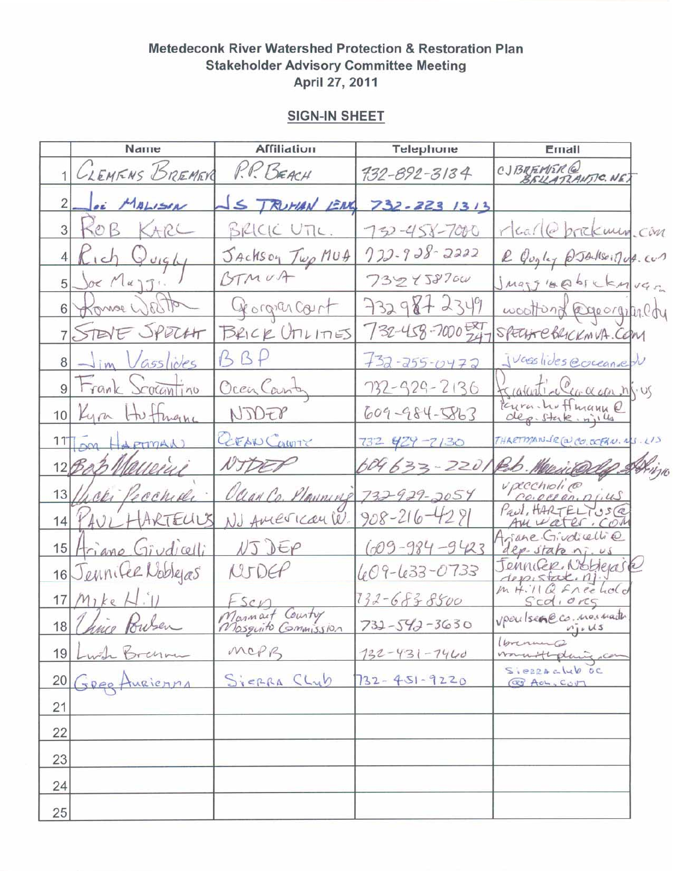#### **SIGN-IN SHEET**

|                | Name                   | <b>Affiliation</b>                     | Telephone            | Ernail                                 |
|----------------|------------------------|----------------------------------------|----------------------|----------------------------------------|
|                | CLEMENS BREMER         | P.P. BEACH                             | 732-892-3134         | CJBREMER@<br>BELLATZANTIC.NET          |
| $\overline{2}$ | OF MALISON             | S TRUMAN ENG                           | $732 - 223$ $1313$   |                                        |
| 3 <sup>1</sup> | KOB KARL               | BRICK UTIL.                            | 750-458-7000         | rlear @ brickmen.com                   |
|                | $K_1$ ch Quight        | Jackson Twp MUA                        | $772 - 928 - 2222$   | R Quyley @JAdsoinus.com                |
| 5 <sup>1</sup> | Joe Mujs.              | BTMUA                                  | 732458700            | Juan Blake CEMVER                      |
|                | Konse West             | Georgian court                         | 7329872349           | woottond @goorginedy                   |
|                | 7 STEVE SPOCHT         | BRICK UninES                           | $732 - 458 - 7000$   | SPECHTEBRICKMVA.COM                    |
|                | 8 - Jim Vasslides      | BAP                                    | $+32 - 255 - 0472$   | Juasslides ecceanied                   |
|                | 9 Frank Scotantino     | OcenCant                               | 732-929-2136         | treasunti-clearer and ns. us           |
|                | 10 Kym Hutman          | NJDEP                                  | $609 - 984 - 5863$   | Para hoffmann e                        |
|                | 11 SM HARTIMAN         | GEAN CONTY                             | 732 929-7130         | THARTMANIR (2) CO. OFFAN. RS. LIS      |
|                | 12 Bob Malleini        | NIDER                                  | 604633-2201          | Rob. Merrison                          |
| 13/            | Wer Pecchiale          | Ocean Co. Plauning 732-929-2054        |                      | vpecchiolico                           |
|                | 14 PAUL HARTELLIS      | NJ AMErican W.                         | $908 - 216 - 4281$   | Paul, HARTELIUSCR<br>Amuater. COM      |
|                | 15 Ariano Giudicelli   | VJJEP                                  | $(009 - 984 - 9423)$ | Ariane Girdicelli@<br>dep-state ni. us |
|                | 16 Jennifee Nobleas    | NIDCF                                  | 609-633-0733         | Jennifer Noblejark                     |
|                | $17$ Mike $H^{\prime}$ | Fsen                                   | $732 - 6838800$      | $m$ H.11 Q $f$ nee hold<br>Scd, org    |
|                | 18 Chine Pousen        | Marmart Country<br>Masquito Commission | $732 - 542 - 3630$   | vpoulsence. no nath<br>$n_1, u_s$      |
|                |                        | MOPB                                   | $132 - 431 - 7440$   | (brennence                             |
|                | 19 Lwh Brenne          | SYERRA CLUB                            | $732 - 451 - 9220$   | SIERRACHO OC<br>@ AOL, CUM             |
| 21             |                        |                                        |                      |                                        |
| 22             |                        |                                        |                      |                                        |
| 23             |                        |                                        |                      |                                        |
| 24             |                        |                                        |                      |                                        |
| 25             |                        |                                        |                      |                                        |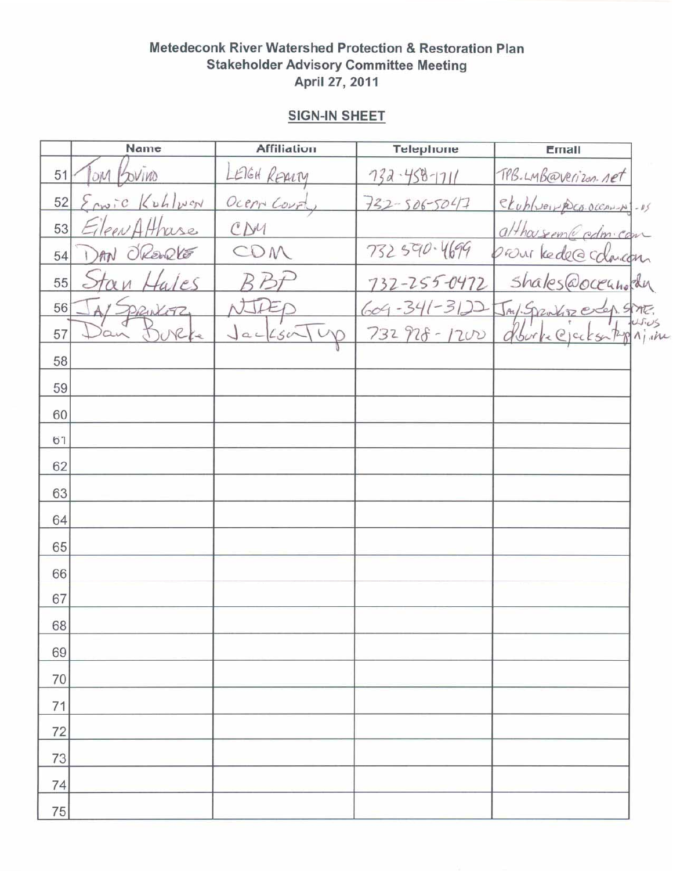#### **SIGN-IN SHEET**

|    | Name                            | <b>Affiliation</b>          | Telephone           | Email                     |  |
|----|---------------------------------|-----------------------------|---------------------|---------------------------|--|
| 51 | OVIVO<br>OM                     | LEIGH REALTY                | $732 - 458 - 1711$  | TPB.LMB@verizon.net       |  |
| 52 | $\Sigma_{\text{cm}}$ ic Kuhlwan | Ocen Courty                 | $732 - 506 - 50477$ | ekublish poco-occaning-us |  |
| 53 | leen Atthase                    | CDM                         |                     | althousem@cdm.com         |  |
| 54 | OREWRLE                         | COM                         | 732 590.4699        | provi kede@cdarcon        |  |
| 55 | ales                            |                             | 732-255-0472        | shales@oceanolder         |  |
| 56 | PRINCETZ                        | IA                          | $604 - 341 - 3122$  | JAY. Spankisz erep SMT.   |  |
| 57 | NCKe                            | $Jac\xi\circ\sqrt{\nu\phi}$ | $732928 - 1200$     | Oburbe Ciccks top njin    |  |
| 58 |                                 |                             |                     |                           |  |
| 59 |                                 |                             |                     |                           |  |
| 60 |                                 |                             |                     |                           |  |
| 61 |                                 |                             |                     |                           |  |
| 62 |                                 |                             |                     |                           |  |
| 63 |                                 |                             |                     |                           |  |
| 64 |                                 |                             |                     |                           |  |
| 65 |                                 |                             |                     |                           |  |
| 66 |                                 |                             |                     |                           |  |
| 67 |                                 |                             |                     |                           |  |
| 68 |                                 |                             |                     |                           |  |
| 69 |                                 |                             |                     |                           |  |
| 70 |                                 |                             |                     |                           |  |
| 71 |                                 |                             |                     |                           |  |
| 72 |                                 |                             |                     |                           |  |
| 73 |                                 |                             |                     |                           |  |
| 74 |                                 |                             |                     |                           |  |
| 75 |                                 |                             |                     |                           |  |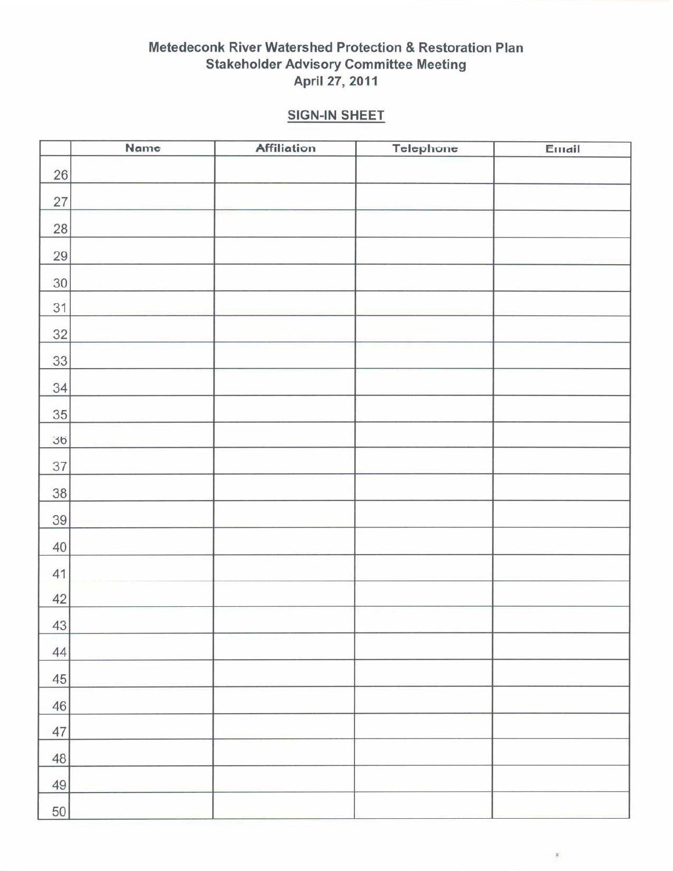# **SIGN-IN SHEET**

|        | Name | <b>Affiliation</b> | Telephone | Email |
|--------|------|--------------------|-----------|-------|
| $26\,$ |      |                    |           |       |
| $27\,$ |      |                    |           |       |
| $28\,$ |      |                    |           |       |
| $29\,$ |      |                    |           |       |
| 30     |      |                    |           |       |
| 31     |      |                    |           |       |
| $32\,$ |      |                    |           |       |
| 33     |      |                    |           |       |
| 34     |      |                    |           |       |
| 35     |      |                    |           |       |
| 36     |      |                    |           |       |
| 37     |      |                    |           |       |
| 38     |      |                    |           |       |
| 39     |      |                    |           |       |
| $40\,$ |      |                    |           |       |
| 41     |      |                    |           |       |
| 42     |      |                    |           |       |
| 43     |      |                    |           |       |
| 44     |      |                    |           |       |
| $45\,$ |      |                    |           |       |
| 46     |      |                    |           |       |
| 47     |      |                    |           |       |
| 48     |      |                    |           |       |
| $49\,$ |      |                    |           |       |
| 50     |      |                    |           |       |

 $\mathcal{X}$